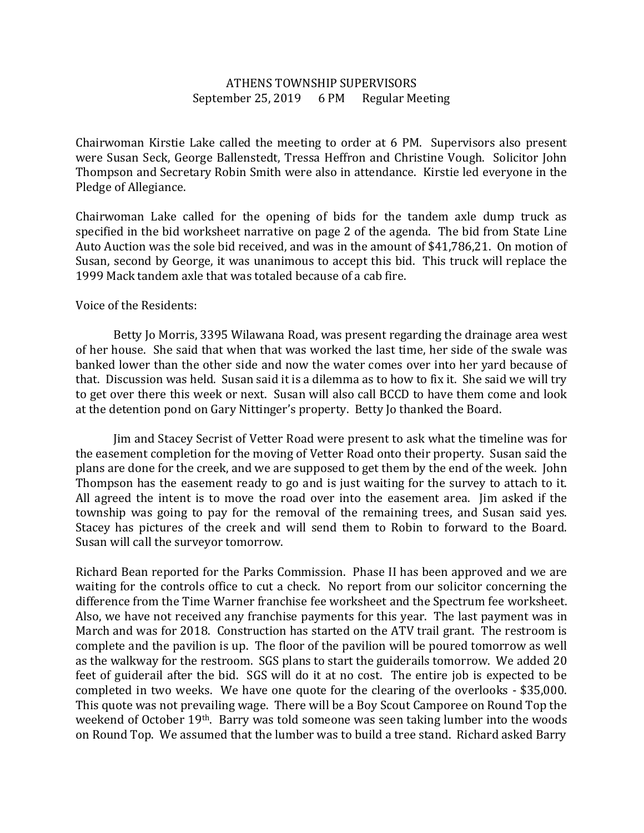## ATHENS TOWNSHIP SUPERVISORS September 25, 2019 6 PM Regular Meeting

Chairwoman Kirstie Lake called the meeting to order at 6 PM. Supervisors also present were Susan Seck, George Ballenstedt, Tressa Heffron and Christine Vough. Solicitor John Thompson and Secretary Robin Smith were also in attendance. Kirstie led everyone in the Pledge of Allegiance.

Chairwoman Lake called for the opening of bids for the tandem axle dump truck as specified in the bid worksheet narrative on page 2 of the agenda. The bid from State Line Auto Auction was the sole bid received, and was in the amount of \$41,786,21. On motion of Susan, second by George, it was unanimous to accept this bid. This truck will replace the 1999 Mack tandem axle that was totaled because of a cab fire.

## Voice of the Residents:

 Betty Jo Morris, 3395 Wilawana Road, was present regarding the drainage area west of her house. She said that when that was worked the last time, her side of the swale was banked lower than the other side and now the water comes over into her yard because of that. Discussion was held. Susan said it is a dilemma as to how to fix it. She said we will try to get over there this week or next. Susan will also call BCCD to have them come and look at the detention pond on Gary Nittinger's property. Betty Jo thanked the Board.

 Jim and Stacey Secrist of Vetter Road were present to ask what the timeline was for the easement completion for the moving of Vetter Road onto their property. Susan said the plans are done for the creek, and we are supposed to get them by the end of the week. John Thompson has the easement ready to go and is just waiting for the survey to attach to it. All agreed the intent is to move the road over into the easement area. Jim asked if the township was going to pay for the removal of the remaining trees, and Susan said yes. Stacey has pictures of the creek and will send them to Robin to forward to the Board. Susan will call the surveyor tomorrow.

Richard Bean reported for the Parks Commission. Phase II has been approved and we are waiting for the controls office to cut a check. No report from our solicitor concerning the difference from the Time Warner franchise fee worksheet and the Spectrum fee worksheet. Also, we have not received any franchise payments for this year. The last payment was in March and was for 2018. Construction has started on the ATV trail grant. The restroom is complete and the pavilion is up. The floor of the pavilion will be poured tomorrow as well as the walkway for the restroom. SGS plans to start the guiderails tomorrow. We added 20 feet of guiderail after the bid. SGS will do it at no cost. The entire job is expected to be completed in two weeks. We have one quote for the clearing of the overlooks - \$35,000. This quote was not prevailing wage. There will be a Boy Scout Camporee on Round Top the weekend of October 19th. Barry was told someone was seen taking lumber into the woods on Round Top. We assumed that the lumber was to build a tree stand. Richard asked Barry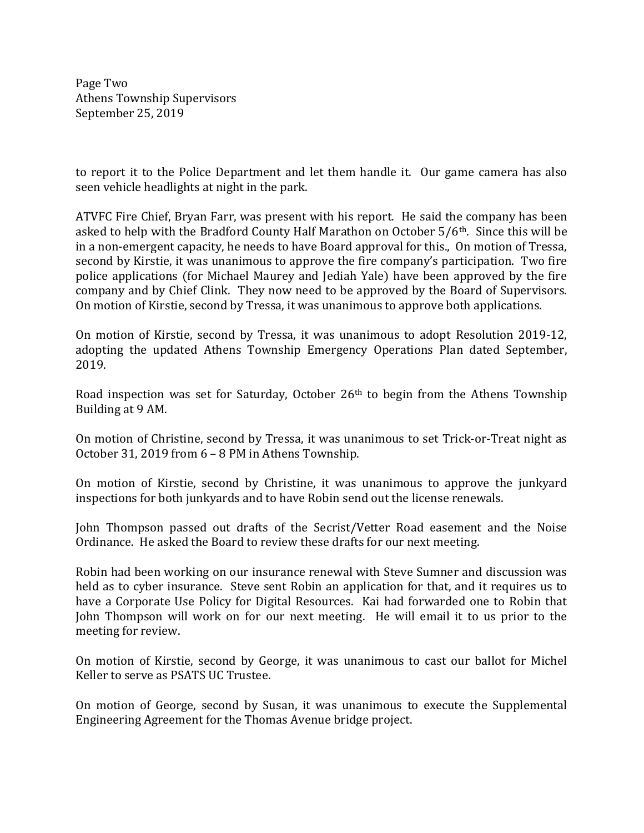Page Two Athens Township Supervisors September 25, 2019

to report it to the Police Department and let them handle it. Our game camera has also seen vehicle headlights at night in the park.

ATVFC Fire Chief, Bryan Farr, was present with his report. He said the company has been asked to help with the Bradford County Half Marathon on October  $5/6$ <sup>th</sup>. Since this will be in a non-emergent capacity, he needs to have Board approval for this., On motion of Tressa, second by Kirstie, it was unanimous to approve the fire company's participation. Two fire police applications (for Michael Maurey and Jediah Yale) have been approved by the fire company and by Chief Clink. They now need to be approved by the Board of Supervisors. On motion of Kirstie, second by Tressa, it was unanimous to approve both applications.

On motion of Kirstie, second by Tressa, it was unanimous to adopt Resolution 2019-12, adopting the updated Athens Township Emergency Operations Plan dated September, 2019.

Road inspection was set for Saturday, October 26th to begin from the Athens Township Building at 9 AM.

On motion of Christine, second by Tressa, it was unanimous to set Trick-or-Treat night as October 31, 2019 from 6 – 8 PM in Athens Township.

On motion of Kirstie, second by Christine, it was unanimous to approve the junkyard inspections for both junkyards and to have Robin send out the license renewals.

John Thompson passed out drafts of the Secrist/Vetter Road easement and the Noise Ordinance. He asked the Board to review these drafts for our next meeting.

Robin had been working on our insurance renewal with Steve Sumner and discussion was held as to cyber insurance. Steve sent Robin an application for that, and it requires us to have a Corporate Use Policy for Digital Resources. Kai had forwarded one to Robin that John Thompson will work on for our next meeting. He will email it to us prior to the meeting for review.

On motion of Kirstie, second by George, it was unanimous to cast our ballot for Michel Keller to serve as PSATS UC Trustee.

On motion of George, second by Susan, it was unanimous to execute the Supplemental Engineering Agreement for the Thomas Avenue bridge project.